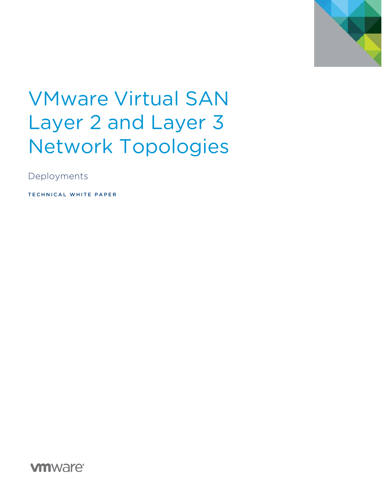

# VMware Virtual SAN Layer 2 and Layer 3 Network Topologies

Deployments

TECHNICAL WHITE PAPER

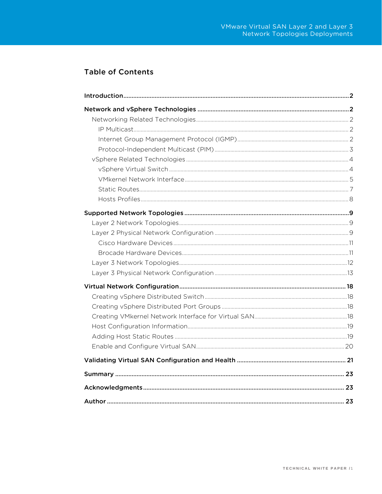# **Table of Contents**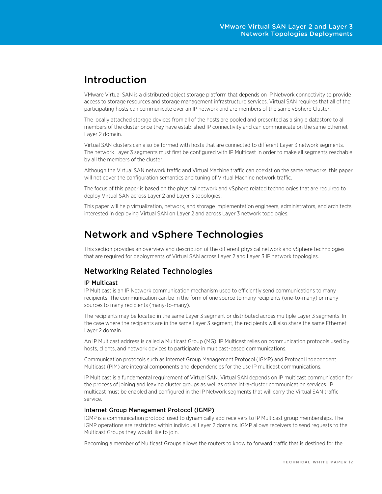# Introduction

VMware Virtual SAN is a distributed object storage platform that depends on IP Network connectivity to provide access to storage resources and storage management infrastructure services. Virtual SAN requires that all of the participating hosts can communicate over an IP network and are members of the same vSphere Cluster.

The locally attached storage devices from all of the hosts are pooled and presented as a single datastore to all members of the cluster once they have established IP connectivity and can communicate on the same Ethernet Layer 2 domain.

Virtual SAN clusters can also be formed with hosts that are connected to different Layer 3 network segments. The network Layer 3 segments must first be configured with IP Multicast in order to make all segments reachable by all the members of the cluster.

Although the Virtual SAN network traffic and Virtual Machine traffic can coexist on the same networks, this paper will not cover the configuration semantics and tuning of Virtual Machine network traffic.

The focus of this paper is based on the physical network and vSphere related technologies that are required to deploy Virtual SAN across Layer 2 and Layer 3 topologies.

This paper will help virtualization, network, and storage implementation engineers, administrators, and architects interested in deploying Virtual SAN on Layer 2 and across Layer 3 network topologies.

# Network and vSphere Technologies

This section provides an overview and description of the different physical network and vSphere technologies that are required for deployments of Virtual SAN across Layer 2 and Layer 3 IP network topologies.

# Networking Related Technologies

## IP Multicast

IP Multicast is an IP Network communication mechanism used to efficiently send communications to many recipients. The communication can be in the form of one source to many recipients (one-to-many) or many sources to many recipients (many-to-many).

The recipients may be located in the same Layer 3 segment or distributed across multiple Layer 3 segments. In the case where the recipients are in the same Layer 3 segment, the recipients will also share the same Ethernet Layer 2 domain.

An IP Multicast address is called a Multicast Group (MG). IP Multicast relies on communication protocols used by hosts, clients, and network devices to participate in multicast-based communications.

Communication protocols such as Internet Group Management Protocol (IGMP) and Protocol Independent Multicast (PIM) are integral components and dependencies for the use IP multicast communications.

IP Multicast is a fundamental requirement of Virtual SAN. Virtual SAN depends on IP multicast communication for the process of joining and leaving cluster groups as well as other intra-cluster communication services. IP multicast must be enabled and configured in the IP Network segments that will carry the Virtual SAN traffic service.

## Internet Group Management Protocol (IGMP)

IGMP is a communication protocol used to dynamically add receivers to IP Multicast group memberships. The IGMP operations are restricted within individual Layer 2 domains. IGMP allows receivers to send requests to the Multicast Groups they would like to join.

Becoming a member of Multicast Groups allows the routers to know to forward traffic that is destined for the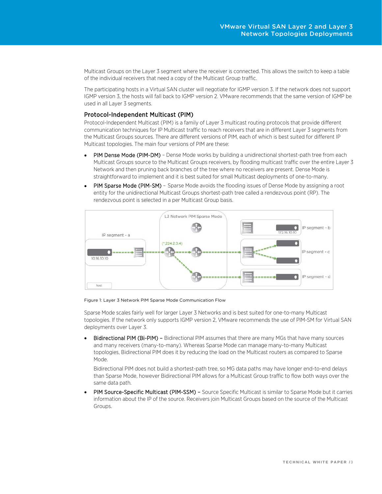Multicast Groups on the Layer 3 segment where the receiver is connected. This allows the switch to keep a table of the individual receivers that need a copy of the Multicast Group traffic.

The participating hosts in a Virtual SAN cluster will negotiate for IGMP version 3. If the network does not support IGMP version 3, the hosts will fall back to IGMP version 2. VMware recommends that the same version of IGMP be used in all Layer 3 segments.

## Protocol-Independent Multicast (PIM)

Protocol-Independent Multicast (PIM) is a family of Layer 3 multicast routing protocols that provide different communication techniques for IP Multicast traffic to reach receivers that are in different Layer 3 segments from the Multicast Groups sources. There are different versions of PIM, each of which is best suited for different IP Multicast topologies. The main four versions of PIM are these:

- PIM Dense Mode (PIM-DM) Dense Mode works by building a unidirectional shortest-path tree from each Multicast Groups source to the Multicast Groups receivers, by flooding multicast traffic over the entire Layer 3 Network and then pruning back branches of the tree where no receivers are present. Dense Mode is straightforward to implement and it is best suited for small Multicast deployments of one-to-many.
- PIM Sparse Mode (PIM-SM) Sparse Mode avoids the flooding issues of Dense Mode by assigning a root entity for the unidirectional Multicast Groups shortest-path tree called a rendezvous point (RP). The rendezvous point is selected in a per Multicast Group basis.



Figure 1: Layer 3 Network PIM Sparse Mode Communication Flow

Sparse Mode scales fairly well for larger Layer 3 Networks and is best suited for one-to-many Multicast topologies. If the network only supports IGMP version 2, VMware recommends the use of PIM-SM for Virtual SAN deployments over Layer 3.

• Bidirectional PIM (Bi-PIM) – Bidirectional PIM assumes that there are many MGs that have many sources and many receivers (many-to-many). Whereas Sparse Mode can manage many-to-many Multicast topologies, Bidirectional PIM does it by reducing the load on the Multicast routers as compared to Sparse Mode.

Bidirectional PIM does not build a shortest-path tree, so MG data paths may have longer end-to-end delays than Sparse Mode, however Bidirectional PIM allows for a Multicast Group traffic to flow both ways over the same data path.

• PIM Source-Specific Multicast (PIM-SSM) – Source Specific Multicast is similar to Sparse Mode but it carries information about the IP of the source. Receivers join Multicast Groups based on the source of the Multicast Groups.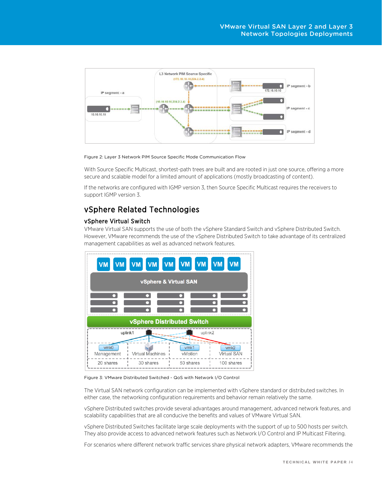

Figure 2: Layer 3 Network PIM Source Specific Mode Communication Flow

With Source Specific Multicast, shortest-path trees are built and are rooted in just one source, offering a more secure and scalable model for a limited amount of applications (mostly broadcasting of content).

If the networks are configured with IGMP version 3, then Source Specific Multicast requires the receivers to support IGMP version 3.

# vSphere Related Technologies

## vSphere Virtual Switch

VMware Virtual SAN supports the use of both the vSphere Standard Switch and vSphere Distributed Switch. However, VMware recommends the use of the vSphere Distributed Switch to take advantage of its centralized management capabilities as well as advanced network features.



Figure 3: VMware Distributed Switched - QoS with Network I/O Control

The Virtual SAN network configuration can be implemented with vSphere standard or distributed switches. In either case, the networking configuration requirements and behavior remain relatively the same.

vSphere Distributed switches provide several advantages around management, advanced network features, and scalability capabilities that are all conducive the benefits and values of VMware Virtual SAN.

vSphere Distributed Switches facilitate large scale deployments with the support of up to 500 hosts per switch. They also provide access to advanced network features such as Network I/O Control and IP Multicast Filtering.

For scenarios where different network traffic services share physical network adapters, VMware recommends the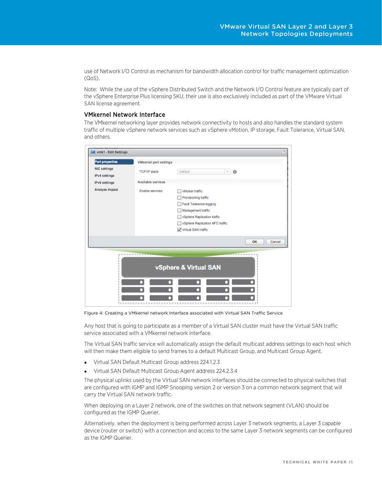use of Network I/O Control as mechanism for bandwidth allocation control for traffic management optimization (QoS).

Note: While the use of the vSphere Distributed Switch and the Network I/O Control feature are typically part of the vSphere Enterprise Plus licensing SKU, their use is also exclusively included as part of the VMware Virtual SAN license agreement.

## VMkernel Network Interface

The VMkernel networking layer provides network connectivity to hosts and also handles the standard system traffic of multiple vSphere network services such as vSphere vMotion, IP storage, Fault Tolerance, Virtual SAN, and others.

|                     | ust vmk1 - Edit Settings      |                                 |              |
|---------------------|-------------------------------|---------------------------------|--------------|
| Port properties     | <b>VMkernel</b> port settings |                                 |              |
| <b>NIC settings</b> | TCP/IP stack:                 | Default<br>×                    | $\theta$     |
| IPv4 settings       |                               |                                 |              |
| IPv6 settings       | Available services            |                                 |              |
| Analyze impact      | Enable services:              | vMotion traffic                 |              |
|                     |                               | Provisioning traffic            |              |
|                     |                               | Fault Tolerance logging         |              |
|                     |                               | Management traffic              |              |
|                     |                               | vSphere Replication traffic     |              |
|                     |                               | vSphere Replication NFC traffic |              |
|                     |                               | Virtual SAN traffic             |              |
|                     |                               |                                 |              |
|                     |                               |                                 | OK<br>Cancel |

Figure 4: Creating a VMkernel network Interface associated with Virtual SAN Traffic Service

Any host that is going to participate as a member of a Virtual SAN cluster must have the Virtual SAN traffic service associated with a VMkernel network interface.

The Virtual SAN traffic service will automatically assign the default multicast address settings to each host which will then make them eligible to send frames to a default Multicast Group, and Multicast Group Agent.

- Virtual SAN Default Multicast Group address 224.1.2.3
- Virtual SAN Default Multicast Group Agent address 224.2.3.4

The physical uplinks used by the Virtual SAN network interfaces should be connected to physical switches that are configured with IGMP and IGMP Snooping version 2 or version 3 on a common network segment that will carry the Virtual SAN network traffic.

When deploying on a Layer 2 network, one of the switches on that network segment (VLAN) should be configured as the IGMP Querier.

Alternatively, when the deployment is being performed across Layer 3 network segments, a Layer 3 capable device (router or switch) with a connection and access to the same Layer 3 network segments can be configured as the IGMP Querier.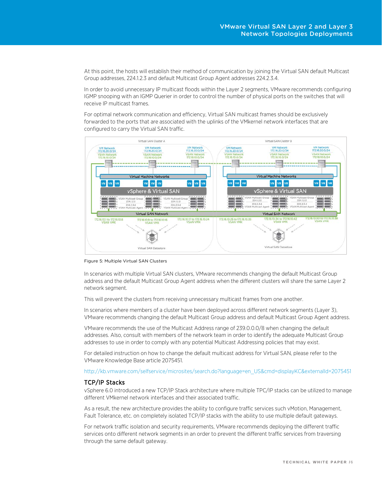At this point, the hosts will establish their method of communication by joining the Virtual SAN default Multicast Group addresses, 224.1.2.3 and default Multicast Group Agent addresses 224.2.3.4.

In order to avoid unnecessary IP multicast floods within the Layer 2 segments, VMware recommends configuring IGMP snooping with an IGMP Querier in order to control the number of physical ports on the switches that will receive IP multicast frames.

For optimal network communication and efficiency, Virtual SAN multicast frames should be exclusively forwarded to the ports that are associated with the uplinks of the VMkernel network interfaces that are configured to carry the Virtual SAN traffic.



Figure 5: Multiple Virtual SAN Clusters

In scenarios with multiple Virtual SAN clusters, VMware recommends changing the default Multicast Group address and the default Multicast Group Agent address when the different clusters will share the same Layer 2 network segment.

This will prevent the clusters from receiving unnecessary multicast frames from one another.

In scenarios where members of a cluster have been deployed across different network segments (Layer 3), VMware recommends changing the default Multicast Group address and default Multicast Group Agent address.

VMware recommends the use of the Multicast Address range of 239.0.0.0/8 when changing the default addresses. Also, consult with members of the network team in order to identify the adequate Multicast Group addresses to use in order to comply with any potential Multicast Addressing policies that may exist.

For detailed instruction on how to change the default multicast address for Virtual SAN, please refer to the VMware Knowledge Base article 2075451.

#### http://kb.vmware.com/selfservice/microsites/search.do?language=en\_US&cmd=displayKC&externalId=2075451

#### TCP/IP Stacks

vSphere 6.0 introduced a new TCP/IP Stack architecture where multiple TPC/IP stacks can be utilized to manage different VMkernel network interfaces and their associated traffic.

As a result, the new architecture provides the ability to configure traffic services such vMotion, Management, Fault Tolerance, etc. on completely isolated TCP/IP stacks with the ability to use multiple default gateways.

For network traffic isolation and security requirements, VMware recommends deploying the different traffic services onto different network segments in an order to prevent the different traffic services from traversing through the same default gateway.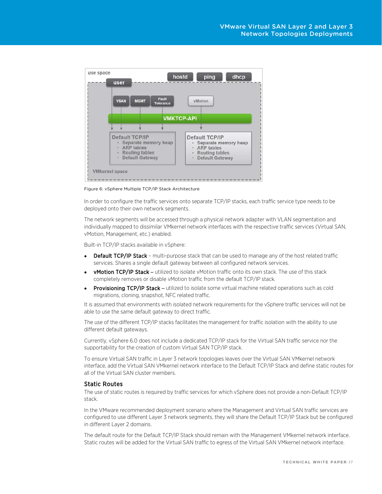

Figure 6: vSphere Multiple TCP/IP Stack Architecture

In order to configure the traffic services onto separate TCP/IP stacks, each traffic service type needs to be deployed onto their own network segments.

The network segments will be accessed through a physical network adapter with VLAN segmentation and individually mapped to dissimilar VMkernel network interfaces with the respective traffic services (Virtual SAN, vMotion, Management, etc.) enabled.

Built-in TCP/IP stacks available in vSphere:

- **Default TCP/IP Stack multi-purpose stack that can be used to manage any of the host related traffic** services. Shares a single default gateway between all configured network services.
- vMotion TCP/IP Stack **–** utilized to isolate vMotion traffic onto its own stack. The use of this stack completely removes or disable vMotion traffic from the default TCP/IP stack.
- Provisioning TCP/IP Stack **–** utilized to isolate some virtual machine related operations such as cold migrations, cloning, snapshot, NFC related traffic.

It is assumed that environments with isolated network requirements for the vSphere traffic services will not be able to use the same default gateway to direct traffic.

The use of the different TCP/IP stacks facilitates the management for traffic isolation with the ability to use different default gateways.

Currently, vSphere 6.0 does not include a dedicated TCP/IP stack for the Virtual SAN traffic service nor the supportability for the creation of custom Virtual SAN TCP/IP stack.

To ensure Virtual SAN traffic in Layer 3 network topologies leaves over the Virtual SAN VMkernel network interface, add the Virtual SAN VMkernel network interface to the Default TCP/IP Stack and define static routes for all of the Virtual SAN cluster members.

## Static Routes

The use of static routes is required by traffic services for which vSphere does not provide a non-Default TCP/IP stack.

In the VMware recommended deployment scenario where the Management and Virtual SAN traffic services are configured to use different Layer 3 network segments, they will share the Default TCP/IP Stack but be configured in different Layer 2 domains.

The default route for the Default TCP/IP Stack should remain with the Management VMkernel network interface. Static routes will be added for the Virtual SAN traffic to egress of the Virtual SAN VMkernel network interface.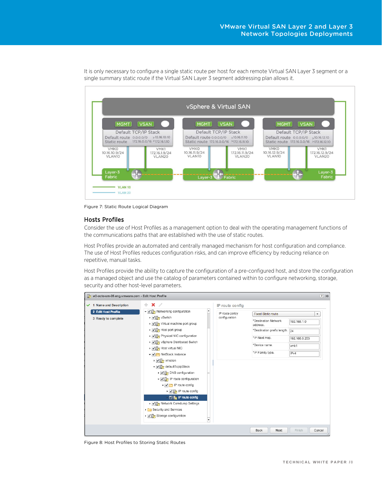

It is only necessary to configure a single static route per host for each remote Virtual SAN Layer 3 segment or a single summary static route if the Virtual SAN Layer 3 segment addressing plan allows it.

Figure 7: Static Route Logical Diagram

## Hosts Profiles

Consider the use of Host Profiles as a management option to deal with the operating management functions of the communications paths that are established with the use of static routes.

Host Profiles provide an automated and centrally managed mechanism for host configuration and compliance. The use of Host Profiles reduces configuration risks, and can improve efficiency by reducing reliance on repetitive, manual tasks.

Host Profiles provide the ability to capture the configuration of a pre-configured host, and store the configuration as a managed object and use the catalog of parameters contained within to configure networking, storage, security and other host-level parameters.



Figure 8: Host Profiles to Storing Static Routes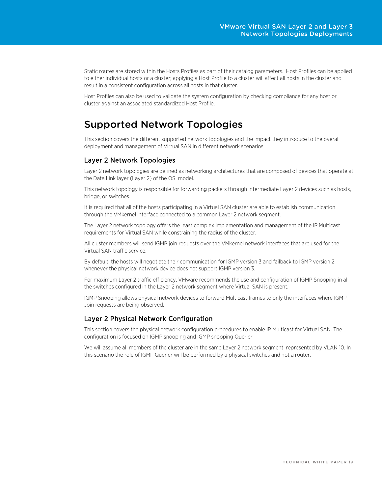Static routes are stored within the Hosts Profiles as part of their catalog parameters. Host Profiles can be applied to either individual hosts or a cluster; applying a Host Profile to a cluster will affect all hosts in the cluster and result in a consistent configuration across all hosts in that cluster.

Host Profiles can also be used to validate the system configuration by checking compliance for any host or cluster against an associated standardized Host Profile.

# Supported Network Topologies

This section covers the different supported network topologies and the impact they introduce to the overall deployment and management of Virtual SAN in different network scenarios.

# Layer 2 Network Topologies

Layer 2 network topologies are defined as networking architectures that are composed of devices that operate at the Data Link layer (Layer 2) of the OSI model.

This network topology is responsible for forwarding packets through intermediate Layer 2 devices such as hosts, bridge, or switches.

It is required that all of the hosts participating in a Virtual SAN cluster are able to establish communication through the VMkernel interface connected to a common Layer 2 network segment.

The Layer 2 network topology offers the least complex implementation and management of the IP Multicast requirements for Virtual SAN while constraining the radius of the cluster.

All cluster members will send IGMP join requests over the VMkernel network interfaces that are used for the Virtual SAN traffic service.

By default, the hosts will negotiate their communication for IGMP version 3 and failback to IGMP version 2 whenever the physical network device does not support IGMP version 3.

For maximum Layer 2 traffic efficiency, VMware recommends the use and configuration of IGMP Snooping in all the switches configured in the Layer 2 network segment where Virtual SAN is present.

IGMP Snooping allows physical network devices to forward Multicast frames to only the interfaces where IGMP Join requests are being observed.

# Layer 2 Physical Network Configuration

This section covers the physical network configuration procedures to enable IP Multicast for Virtual SAN. The configuration is focused on IGMP snooping and IGMP snooping Querier.

We will assume all members of the cluster are in the same Layer 2 network segment, represented by VLAN 10. In this scenario the role of IGMP Querier will be performed by a physical switches and not a router.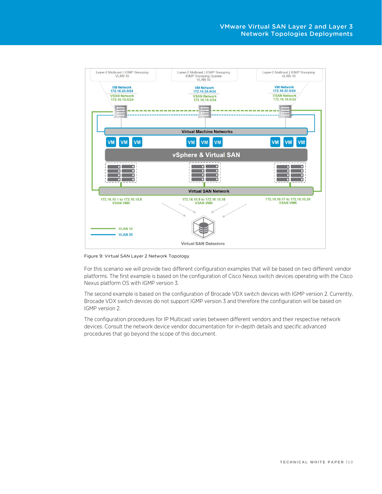

Figure 9: Virtual SAN Layer 2 Network Topology

For this scenario we will provide two different configuration examples that will be based on two different vendor platforms. The first example is based on the configuration of Cisco Nexus switch devices operating with the Cisco Nexus platform OS with IGMP version 3.

The second example is based on the configuration of Brocade VDX switch devices with IGMP version 2. Currently, Brocade VDX switch devices do not support IGMP version 3 and therefore the configuration will be based on IGMP version 2.

The configuration procedures for IP Multicast varies between different vendors and their respective network devices. Consult the network device vendor documentation for in-depth details and specific advanced procedures that go beyond the scope of this document.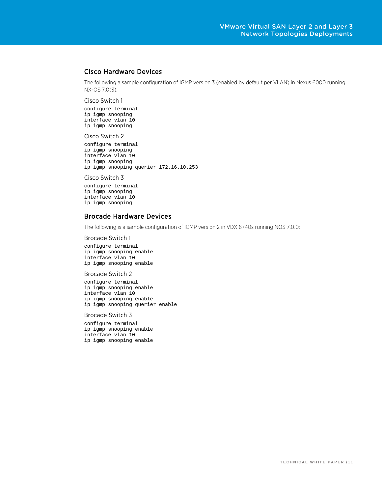# Cisco Hardware Devices

The following a sample configuration of IGMP version 3 (enabled by default per VLAN) in Nexus 6000 running NX-OS 7.0(3):

#### Cisco Switch 1

configure terminal ip igmp snooping interface vlan 10 ip igmp snooping

#### Cisco Switch 2

configure terminal ip igmp snooping interface vlan 10 ip igmp snooping ip igmp snooping querier 172.16.10.253

#### Cisco Switch 3

configure terminal ip igmp snooping interface vlan 10 ip igmp snooping

## Brocade Hardware Devices

The following is a sample configuration of IGMP version 2 in VDX 6740s running NOS 7.0.0:

#### Brocade Switch 1

configure terminal ip igmp snooping enable interface vlan 10 ip igmp snooping enable

#### Brocade Switch 2

configure terminal ip igmp snooping enable interface vlan 10 ip igmp snooping enable ip igmp snooping querier enable

#### Brocade Switch 3

configure terminal ip igmp snooping enable interface vlan 10 ip igmp snooping enable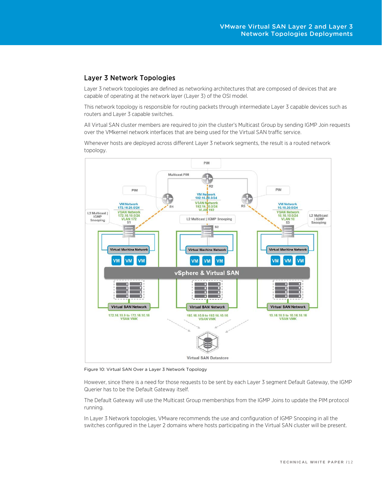# Layer 3 Network Topologies

Layer 3 network topologies are defined as networking architectures that are composed of devices that are capable of operating at the network layer (Layer 3) of the OSI model.

This network topology is responsible for routing packets through intermediate Layer 3 capable devices such as routers and Layer 3 capable switches.

All Virtual SAN cluster members are required to join the cluster's Multicast Group by sending IGMP Join requests over the VMkernel network interfaces that are being used for the Virtual SAN traffic service.

Whenever hosts are deployed across different Layer 3 network segments, the result is a routed network topology.



Figure 10: Virtual SAN Over a Layer 3 Network Topology

However, since there is a need for those requests to be sent by each Layer 3 segment Default Gateway, the IGMP Querier has to be the Default Gateway itself.

The Default Gateway will use the Multicast Group memberships from the IGMP Joins to update the PIM protocol running.

In Layer 3 Network topologies, VMware recommends the use and configuration of IGMP Snooping in all the switches configured in the Layer 2 domains where hosts participating in the Virtual SAN cluster will be present.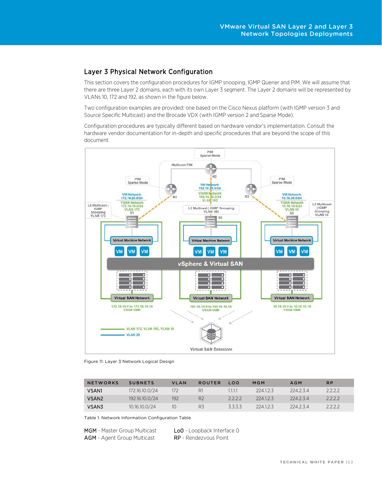# Layer 3 Physical Network Configuration

This section covers the configuration procedures for IGMP snooping, IGMP Querier and PIM. We will assume that there are three Layer 2 domains, each with its own Layer 3 segment. The Layer 2 domains will be represented by VLANs 10, 172 and 192, as shown in the figure below.

Two configuration examples are provided: one based on the Cisco Nexus platform (with IGMP version 3 and Source Specific Multicast) and the Brocade VDX (with IGMP version 2 and Sparse Mode).

Configuration procedures are typically different based on hardware vendor's implementation. Consult the hardware vendor documentation for in-depth and specific procedures that are beyond the scope of this document.



Figure 11: Layer 3 Network Logical Design

| <b>NETWORKS</b>   | <b>SUBNETS</b> | <b>VLAN</b>   | <b>ROUTER</b>  | LOO     | MGM    | <b>AGM</b> | <b>RP</b> |
|-------------------|----------------|---------------|----------------|---------|--------|------------|-----------|
| <b>VSAN1</b>      | 172.16.10.0/24 | $172^{\circ}$ | R1             | 1.1.1.1 | 224123 | 224234     | 2222      |
| VSAN <sub>2</sub> | 192.16.10.0/24 | 192           | R <sub>2</sub> | 2222    | 224123 | 224234     | 2222      |
| VSAN3             | 10.16.10.0/24  | 10            | R3             | 5.5.5.5 | 224123 | 224234     | フフフフ      |

Table 1: Network Information Configuration Table

MGM - Master Group Multicast LoO - Loopback Interface O AGM - Agent Group Multicast RP - Rendezvous Point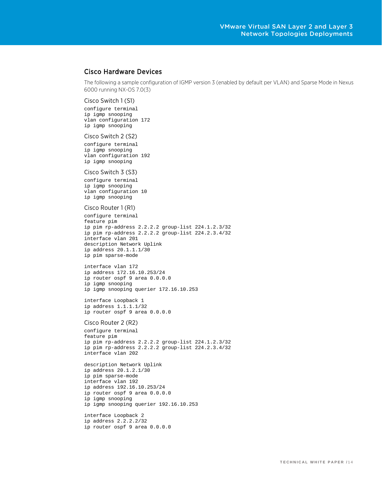## Cisco Hardware Devices

The following a sample configuration of IGMP version 3 (enabled by default per VLAN) and Sparse Mode in Nexus 6000 running NX-OS 7.0(3)

Cisco Switch 1 (S1)

configure terminal ip igmp snooping vlan configuration 172 ip igmp snooping

#### Cisco Switch 2 (S2)

configure terminal ip igmp snooping vlan configuration 192 ip igmp snooping

#### Cisco Switch 3 (S3)

configure terminal ip igmp snooping vlan configuration 10 ip igmp snooping

#### Cisco Router 1 (R1)

configure terminal feature pim ip pim rp-address 2.2.2.2 group-list 224.1.2.3/32 ip pim rp-address 2.2.2.2 group-list 224.2.3.4/32 interface vlan 201 description Network Uplink ip address 20.1.1.1/30 ip pim sparse-mode

interface vlan 172 ip address 172.16.10.253/24 ip router ospf 9 area 0.0.0.0 ip igmp snooping ip igmp snooping querier 172.16.10.253

interface Loopback 1 ip address 1.1.1.1/32 ip router ospf 9 area 0.0.0.0

#### Cisco Router 2 (R2)

configure terminal feature pim ip pim rp-address 2.2.2.2 group-list 224.1.2.3/32 ip pim rp-address 2.2.2.2 group-list 224.2.3.4/32 interface vlan 202

description Network Uplink ip address 20.1.2.1/30 ip pim sparse-mode interface vlan 192 ip address 192.16.10.253/24 ip router ospf 9 area 0.0.0.0 ip igmp snooping ip igmp snooping querier 192.16.10.253 interface Loopback 2

ip address 2.2.2.2/32 ip router ospf 9 area 0.0.0.0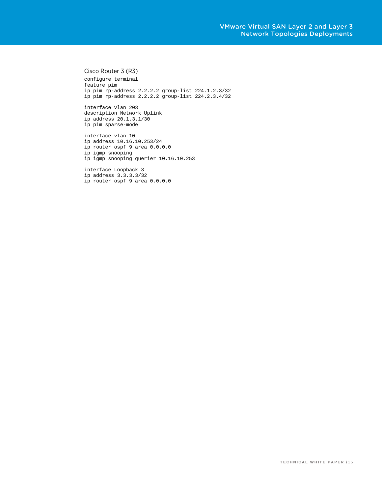#### Cisco Router 3 (R3)

configure terminal feature pim ip pim rp-address 2.2.2.2 group-list 224.1.2.3/32 ip pim rp-address 2.2.2.2 group-list 224.2.3.4/32

interface vlan 203 description Network Uplink ip address 20.1.3.1/30 ip pim sparse-mode

interface vlan 10 ip address 10.16.10.253/24 ip router ospf 9 area 0.0.0.0 ip igmp snooping ip igmp snooping querier 10.16.10.253

interface Loopback 3 ip address 3.3.3.3/32 ip router ospf 9 area 0.0.0.0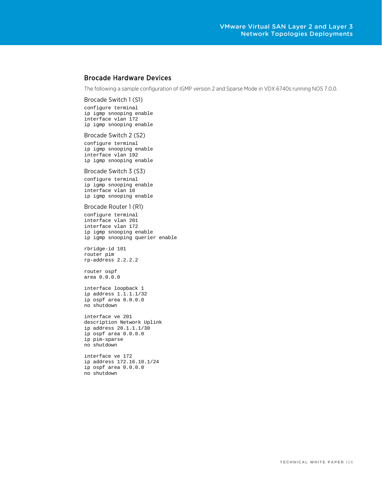# Brocade Hardware Devices

The following a sample configuration of IGMP version 2 and Sparse Mode in VDX 6740s running NOS 7.0.0.

#### Brocade Switch 1 (S1)

configure terminal ip igmp snooping enable interface vlan 172 ip igmp snooping enable

#### Brocade Switch 2 (S2)

configure terminal ip igmp snooping enable interface vlan 192 ip igmp snooping enable

#### Brocade Switch 3 (S3)

configure terminal ip igmp snooping enable interface vlan 10 ip igmp snooping enable

#### Brocade Router 1 (R1)

configure terminal interface vlan 201 interface vlan 172 ip igmp snooping enable ip igmp snooping querier enable

rbridge-id 101 router pim rp-address 2.2.2.2

router ospf area 0.0.0.0

interface loopback 1 ip address 1.1.1.1/32 ip ospf area 0.0.0.0 no shutdown

interface ve 201 description Network Uplink ip address 20.1.1.1/30 ip ospf area 0.0.0.0 ip pim-sparse no shutdown

interface ve 172 ip address 172.16.10.1/24 ip ospf area 0.0.0.0 no shutdown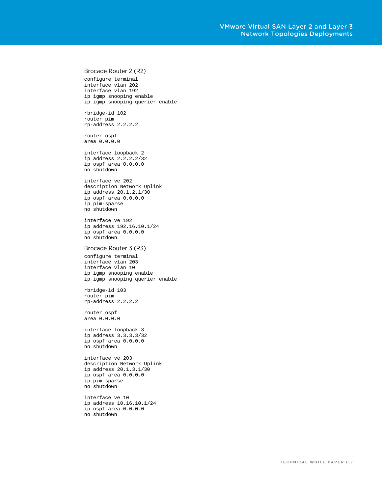## Brocade Router 2 (R2)

configure terminal interface vlan 202 interface vlan 192 ip igmp snooping enable ip igmp snooping querier enable

rbridge-id 102 router pim rp-address 2.2.2.2

router ospf area 0.0.0.0

interface loopback 2 ip address 2.2.2.2/32 ip ospf area 0.0.0.0 no shutdown

interface ve 202 description Network Uplink ip address 20.1.2.1/30 ip ospf area 0.0.0.0 ip pim-sparse no shutdown

interface ve 192 ip address 192.16.10.1/24 ip ospf area 0.0.0.0 no shutdown

#### Brocade Router 3 (R3)

configure terminal interface vlan 203 interface vlan 10 ip igmp snooping enable ip igmp snooping querier enable

rbridge-id 103 router pim rp-address 2.2.2.2

router ospf area 0.0.0.0

interface loopback 3 ip address 3.3.3.3/32 ip ospf area 0.0.0.0 no shutdown

interface ve 203 description Network Uplink ip address 20.1.3.1/30 ip ospf area 0.0.0.0 ip pim-sparse no shutdown

interface ve 10 ip address 10.16.10.1/24 ip ospf area 0.0.0.0 no shutdown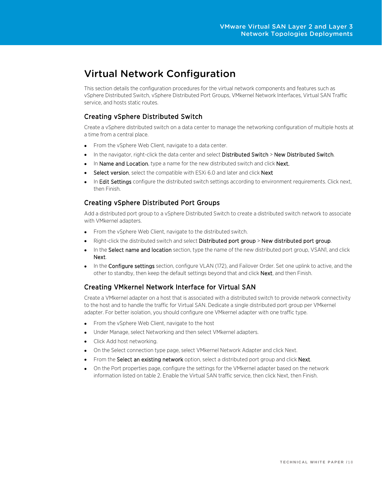# Virtual Network Configuration

This section details the configuration procedures for the virtual network components and features such as vSphere Distributed Switch, vSphere Distributed Port Groups, VMkernel Network Interfaces, Virtual SAN Traffic service, and hosts static routes.

# Creating vSphere Distributed Switch

Create a vSphere distributed switch on a data center to manage the networking configuration of multiple hosts at a time from a central place.

- From the vSphere Web Client, navigate to a data center.
- In the navigator, right-click the data center and select Distributed Switch > New Distributed Switch.
- In Name and Location, type a name for the new distributed switch and click Next.
- Select version, select the compatible with ESXi 6.0 and later and click Next
- In Edit Settings configure the distributed switch settings according to environment requirements. Click next, then Finish.

# Creating vSphere Distributed Port Groups

Add a distributed port group to a vSphere Distributed Switch to create a distributed switch network to associate with VMkernel adapters.

- From the vSphere Web Client, navigate to the distributed switch.
- Right-click the distributed switch and select Distributed port group > New distributed port group.
- In the Select name and location section, type the name of the new distributed port group, VSAN1, and click Next.
- In the Configure settings section, configure VLAN (172), and Failover Order. Set one uplink to active, and the other to standby, then keep the default settings beyond that and click **Next**, and then Finish.

# Creating VMkernel Network Interface for Virtual SAN

Create a VMkernel adapter on a host that is associated with a distributed switch to provide network connectivity to the host and to handle the traffic for Virtual SAN. Dedicate a single distributed port group per VMkernel adapter. For better isolation, you should configure one VMkernel adapter with one traffic type.

- From the vSphere Web Client, navigate to the host
- Under Manage, select Networking and then select VMkernel adapters.
- Click Add host networking.
- On the Select connection type page, select VMkernel Network Adapter and click Next.
- From the Select an existing network option, select a distributed port group and click Next.
- On the Port properties page, configure the settings for the VMkernel adapter based on the network information listed on table 2. Enable the Virtual SAN traffic service, then click Next, then Finish.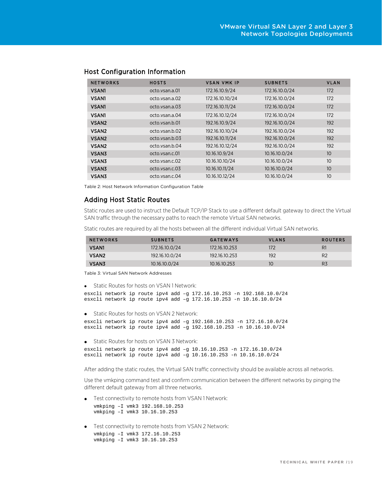| <b>NETWORKS</b>   | <b>HOSTS</b>   | <b>VSAN VMK IP</b> | <b>SUBNETS</b> | <b>VLAN</b>     |
|-------------------|----------------|--------------------|----------------|-----------------|
| <b>VSAN1</b>      | octo.ysan.a.01 | 172.16.10.9/24     | 172.16.10.0/24 | 172             |
| <b>VSAN1</b>      | octo.ysan.a.02 | 172.16.10.10/24    | 172.16.10.0/24 | 172             |
| <b>VSAN1</b>      | octo.ysan.a.03 | 172.16.10.11/24    | 172.16.10.0/24 | 172             |
| <b>VSAN1</b>      | octo.ysan.a.04 | 172.16.10.12/24    | 172.16.10.0/24 | 172             |
| VSAN <sub>2</sub> | octo.ysan.b.01 | 192.16.10.9/24     | 192.16.10.0/24 | 192             |
| VSAN <sub>2</sub> | octo.ysan.b.02 | 192.16.10.10/24    | 192.16.10.0/24 | 192             |
| VSAN <sub>2</sub> | octo.ysan.b.03 | 192.16.10.11/24    | 192.16.10.0/24 | 192             |
| VSAN <sub>2</sub> | octo.ysan.b.04 | 192.16.10.12/24    | 192.16.10.0/24 | 192             |
| <b>VSAN3</b>      | octo.ysan.c.01 | 10.16.10.9/24      | 10.16.10.0/24  | 10 <sup>°</sup> |
| <b>VSAN3</b>      | octo.ysan.c.02 | 10.16.10.10/24     | 10.16.10.0/24  | 10              |
| <b>VSAN3</b>      | octo.ysan.c.03 | 10.16.10.11/24     | 10.16.10.0/24  | 10              |
| <b>VSAN3</b>      | octo.ysan.c.04 | 10.16.10.12/24     | 10.16.10.0/24  | 10              |

## Host Configuration Information

Table 2: Host Network Information Configuration Table

## Adding Host Static Routes

Static routes are used to instruct the Default TCP/IP Stack to use a different default gateway to direct the Virtual SAN traffic through the necessary paths to reach the remote Virtual SAN networks.

Static routes are required by all the hosts between all the different individual Virtual SAN networks.

| <b>NETWORKS</b>   | <b>SUBNETS</b> | <b>GATEWAYS</b> | <b>VLANS</b> | <b>ROUTERS</b> |
|-------------------|----------------|-----------------|--------------|----------------|
| <b>VSAN1</b>      | 172.16.10.0/24 | 172.16.10.253   | 172          | R1             |
| VSAN <sub>2</sub> | 192.16.10.0/24 | 192.16.10.253   | 192          | R <sub>2</sub> |
| VSAN3             | 10.16.10.0/24  | 10.16.10.253    | 10           | R <sub>3</sub> |

Table 3: Virtual SAN Network Addresses

```
• Static Routes for hosts on VSAN 1 Network:
```

```
esxcli network ip route ipv4 add –g 172.16.10.253 -n 192.168.10.0/24
esxcli network ip route ipv4 add –g 172.16.10.253 -n 10.16.10.0/24
```
• Static Routes for hosts on VSAN 2 Network:

```
esxcli network ip route ipv4 add –g 192.168.10.253 -n 172.16.10.0/24
esxcli network ip route ipv4 add –g 192.168.10.253 -n 10.16.10.0/24
```
• Static Routes for hosts on VSAN 3 Network:

```
esxcli network ip route ipv4 add –g 10.16.10.253 -n 172.16.10.0/24
esxcli network ip route ipv4 add –g 10.16.10.253 -n 10.16.10.0/24
```
After adding the static routes, the Virtual SAN traffic connectivity should be available across all networks.

Use the vmkping command test and confirm communication between the different networks by pinging the different default gateway from all three networks.

- Test connectivity to remote hosts from VSAN 1 Network: vmkping –I vmk3 192.168.10.253 vmkping –I vmk3 10.16.10.253
- Test connectivity to remote hosts from VSAN 2 Network: vmkping –I vmk3 172.16.10.253 vmkping –I vmk3 10.16.10.253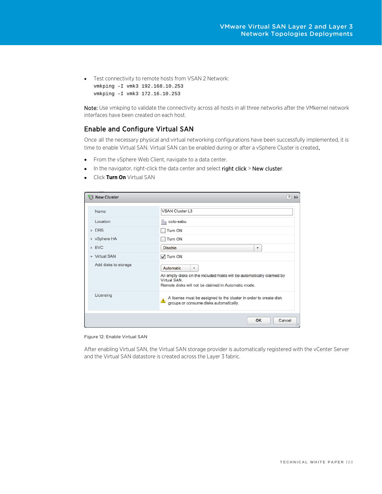• Test connectivity to remote hosts from VSAN 2 Network: vmkping –I vmk3 192.168.10.253 vmkping –I vmk3 172.16.10.253

Note: Use vmkping to validate the connectivity across all hosts in all three networks after the VMkernel network interfaces have been created on each host.

# Enable and Configure Virtual SAN

Once all the necessary physical and virtual networking configurations have been successfully implemented, it is time to enable Virtual SAN. Virtual SAN can be enabled during or after a vSphere Cluster is created.

- From the vSphere Web Client, navigate to a data center.
- In the navigator, right-click the data center and select right click > New cluster.
- Click **Turn On** Virtual SAN

| <b>WE New Cluster</b> | 3<br>$\mathbf{H}$                                                                                                                                                                     |
|-----------------------|---------------------------------------------------------------------------------------------------------------------------------------------------------------------------------------|
| Name                  | <b>VSAN Cluster L3</b>                                                                                                                                                                |
| Location              | octo-sabu                                                                                                                                                                             |
| $\triangleright$ DRS  | <b>Turn ON</b>                                                                                                                                                                        |
| ▶ vSphere HA          | <b>Turn ON</b>                                                                                                                                                                        |
| EVC                   | <b>Disable</b><br>$\overline{\mathbf{v}}$                                                                                                                                             |
| - Virtual SAN         | $\sqrt{}$ Turn ON                                                                                                                                                                     |
| Add disks to storage  | Automatic<br>$\overline{\mathbf{v}}$<br>All empty disks on the included hosts will be automatically claimed by<br>Virtual SAN.<br>Remote disks will not be claimed in Automatic mode. |
| Licensing             | A license must be assigned to the cluster in order to create disk<br>⚠<br>groups or consume disks automatically.                                                                      |
|                       | Cancel<br>OK                                                                                                                                                                          |

Figure 12: Enable Virtual SAN

After enabling Virtual SAN, the Virtual SAN storage provider is automatically registered with the vCenter Server and the Virtual SAN datastore is created across the Layer 3 fabric.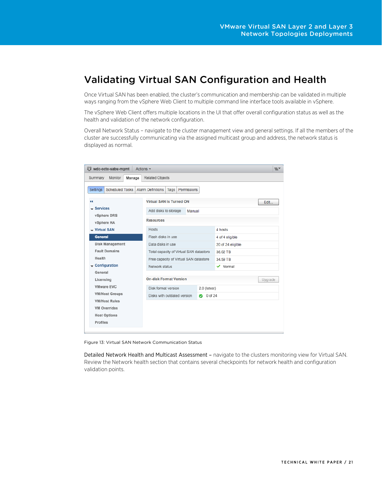# Validating Virtual SAN Configuration and Health

Once Virtual SAN has been enabled, the cluster's communication and membership can be validated in multiple ways ranging from the vSphere Web Client to multiple command line interface tools available in vSphere.

The vSphere Web Client offers multiple locations in the UI that offer overall configuration status as well as the health and validation of the network configuration.

Overall Network Status – navigate to the cluster management view and general settings. If all the members of the cluster are successfully communicating via the assigned multicast group and address, the network status is displayed as normal.

| <b>Will</b> wdc-octo-sabu-mgmt<br>Actions $\star$ |                                                 |              |                   | $\equiv$ |  |
|---------------------------------------------------|-------------------------------------------------|--------------|-------------------|----------|--|
| Monitor<br>Summary<br>Manage                      | Related Objects                                 |              |                   |          |  |
| <b>Scheduled Tasks</b><br>Settings                | <b>Alarm Definitions</b><br>Tags<br>Permissions |              |                   |          |  |
| $\ddot{\phantom{1}}$                              | <b>Virtual SAN is Turned ON</b>                 |              |                   | Edit     |  |
| $-$ Services                                      | Add disks to storage<br>Manual                  |              |                   |          |  |
| vSphere DRS<br>vSphere HA                         | <b>Resources</b>                                |              |                   |          |  |
| - Virtual SAN                                     | <b>Hosts</b>                                    |              | 4 hosts           |          |  |
| <b>General</b>                                    | Flash disks in use                              |              | 4 of 4 eligible   |          |  |
| <b>Disk Management</b>                            | Data disks in use                               |              | 20 of 24 eligible |          |  |
| <b>Fault Domains</b>                              | Total capacity of Virtual SAN datastore         |              | 36.02 TB          |          |  |
| Health                                            | Free capacity of Virtual SAN datastore          |              | 34.59 TB          |          |  |
| $\div$ Configuration                              | Network status                                  |              | $\vee$ Normal     |          |  |
| General                                           |                                                 |              |                   |          |  |
| Licensing                                         | <b>On-disk Format Version</b>                   |              |                   | Upgrade  |  |
| <b>VMware EVC</b>                                 | Disk format version                             | 2.0 (latest) |                   |          |  |
| <b>VM/Host Groups</b>                             | Disks with outdated version                     | 0 of 24<br>Ø |                   |          |  |
| <b>VM/Host Rules</b>                              |                                                 |              |                   |          |  |
| <b>VM Overrides</b>                               |                                                 |              |                   |          |  |
| <b>Host Options</b>                               |                                                 |              |                   |          |  |
| Profiles                                          |                                                 |              |                   |          |  |
|                                                   |                                                 |              |                   |          |  |

Figure 13: Virtual SAN Network Communication Status

Detailed Network Health and Multicast Assessment – navigate to the clusters monitoring view for Virtual SAN. Review the Network health section that contains several checkpoints for network health and configuration validation points.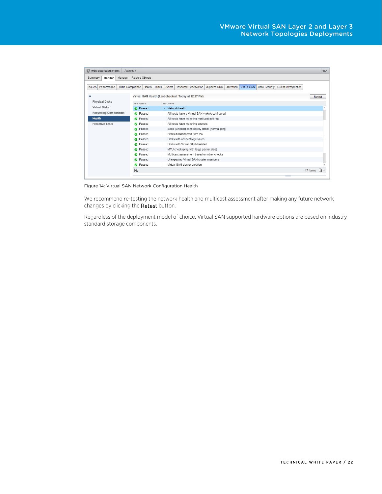| wdc-octo-sabu-mgmt<br>Actions $\sim$               |                        |                                                                                                                        | $\equiv$       |
|----------------------------------------------------|------------------------|------------------------------------------------------------------------------------------------------------------------|----------------|
| Manage<br>Summary<br>Monitor                       | <b>Related Objects</b> |                                                                                                                        |                |
| Profile Compliance<br>Performance<br><b>Issues</b> | Health<br><b>Tasks</b> | vSphere DRS<br>Utilization   Virtual SAN<br>Events Resource Reservation<br>Data Security<br><b>Guest Introspection</b> |                |
| $\blacktriangleleft$                               |                        | Virtual SAN Health (Last checked: Today at 12:27 PM)                                                                   | Retest         |
| <b>Physical Disks</b>                              | <b>Test Result</b>     | <b>Test Name</b>                                                                                                       |                |
| <b>Virtual Disks</b>                               | Passed<br>◎            | $\blacktriangleright$ Network health                                                                                   |                |
| <b>Resyncing Components</b>                        | <b>O</b> Passed        | All hosts have a Virtual SAN vmknic configured                                                                         |                |
| <b>Health</b>                                      | <b>O</b> Passed        | All hosts have matching multicast settings                                                                             |                |
| <b>Proactive Tests</b>                             | <b>O</b> Passed        | All hosts have matching subnets                                                                                        |                |
|                                                    | <b>O</b> Passed        | Basic (unicast) connectivity check (normal ping)                                                                       |                |
|                                                    | <b>O</b> Passed        | Hosts disconnected from VC                                                                                             |                |
|                                                    | <b>O</b> Passed        | Hosts with connectivity issues                                                                                         |                |
|                                                    | <b>O</b> Passed        | Hosts with Virtual SAN disabled                                                                                        |                |
|                                                    | Passed<br>$\bullet$    | MTU check (ping with large packet size)                                                                                |                |
|                                                    | <b>O</b> Passed        | Multicast assessment based on other checks                                                                             |                |
|                                                    | Passed<br>$\bullet$    | Unexpected Virtual SAN cluster members                                                                                 |                |
|                                                    | <b>O</b> Passed        | Virtual SAN cluster partition                                                                                          |                |
|                                                    | м                      |                                                                                                                        | 17 items<br>۱ä |
|                                                    |                        |                                                                                                                        |                |

Figure 14: Virtual SAN Network Configuration Health

We recommend re-testing the network health and multicast assessment after making any future network changes by clicking the Retest button.

Regardless of the deployment model of choice, Virtual SAN supported hardware options are based on industry standard storage components.